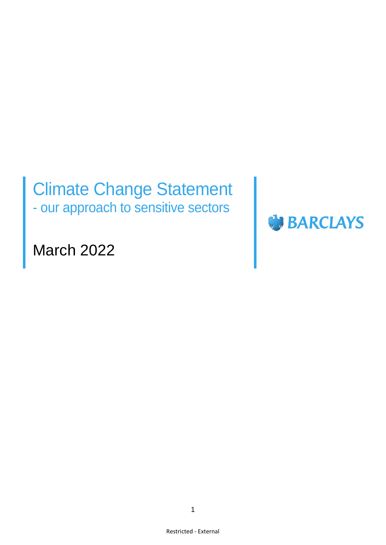# Climate Change Statement - our approach to sensitive sectors



March 2022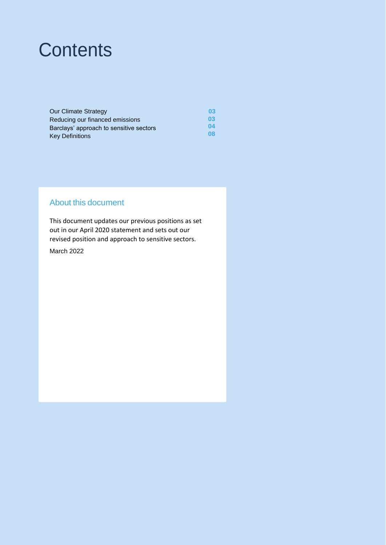# **Contents**

| <b>Our Climate Strategy</b>             | 03 |
|-----------------------------------------|----|
| Reducing our financed emissions         | 03 |
| Barclays' approach to sensitive sectors | 04 |
| <b>Key Definitions</b>                  | 08 |

### About this document

This document updates our previous positions as set out in our April 2020 statement and sets out our revised position and approach to sensitive sectors.

March 2022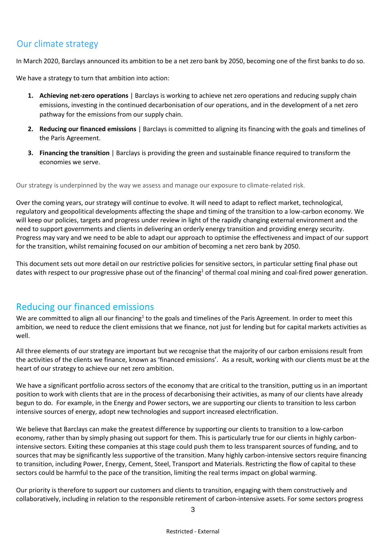## Our climate strategy

In March 2020, Barclays announced its ambition to be a net zero bank by 2050, becoming one of the first banks to do so.

We have a strategy to turn that ambition into action:

- **1. Achieving net-zero operations** | Barclays is working to achieve net zero operations and reducing supply chain emissions, investing in the continued decarbonisation of our operations, and in the development of a net zero pathway for the emissions from our supply chain.
- **2. Reducing our financed emissions** | Barclays is committed to aligning its financing with the goals and timelines of the Paris Agreement.
- **3. Financing the transition** | Barclays is providing the green and sustainable finance required to transform the economies we serve.

Our strategy is underpinned by the way we assess and manage our exposure to climate-related risk.

Over the coming years, our strategy will continue to evolve. It will need to adapt to reflect market, technological, regulatory and geopolitical developments affecting the shape and timing of the transition to a low-carbon economy. We will keep our policies, targets and progress under review in light of the rapidly changing external environment and the need to support governments and clients in delivering an orderly energy transition and providing energy security. Progress may vary and we need to be able to adapt our approach to optimise the effectiveness and impact of our support for the transition, whilst remaining focused on our ambition of becoming a net zero bank by 2050.

This document sets out more detail on our restrictive policies for sensitive sectors, in particular setting final phase out dates with respect to our progressive phase out of the financing<sup>1</sup> of thermal coal mining and coal-fired power generation.

## Reducing our financed emissions

We are committed to align all our financing<sup>1</sup> to the goals and timelines of the Paris Agreement. In order to meet this ambition, we need to reduce the client emissions that we finance, not just for lending but for capital markets activities as well.

All three elements of our strategy are important but we recognise that the majority of our carbon emissions result from the activities of the clients we finance, known as 'financed emissions'. As a result, working with our clients must be at the heart of our strategy to achieve our net zero ambition.

We have a significant portfolio across sectors of the economy that are critical to the transition, putting us in an important position to work with clients that are in the process of decarbonising their activities, as many of our clients have already begun to do. For example, in the Energy and Power sectors, we are supporting our clients to transition to less carbon intensive sources of energy, adopt new technologies and support increased electrification.

We believe that Barclays can make the greatest difference by supporting our clients to transition to a low-carbon economy, rather than by simply phasing out support for them. This is particularly true for our clients in highly carbonintensive sectors. Exiting these companies at this stage could push them to less transparent sources of funding, and to sources that may be significantly less supportive of the transition. Many highly carbon-intensive sectors require financing to transition, including Power, Energy, Cement, Steel, Transport and Materials. Restricting the flow of capital to these sectors could be harmful to the pace of the transition, limiting the real terms impact on global warming.

Our priority is therefore to support our customers and clients to transition, engaging with them constructively and collaboratively, including in relation to the responsible retirement of carbon-intensive assets. For some sectors progress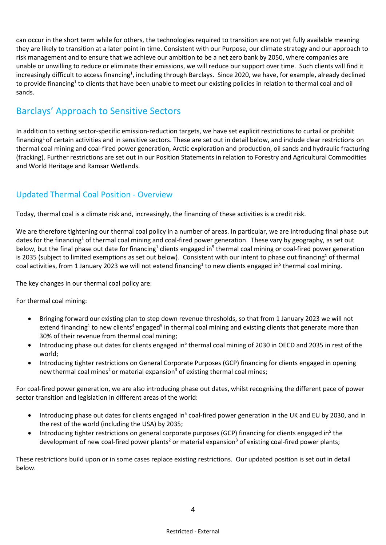can occur in the short term while for others, the technologies required to transition are not yet fully available meaning they are likely to transition at a later point in time. Consistent with our Purpose, our climate strategy and our approach to risk management and to ensure that we achieve our ambition to be a net zero bank by 2050, where companies are unable or unwilling to reduce or eliminate their emissions, we will reduce our support over time. Such clients will find it increasingly difficult to access financing<sup>1</sup>, including through Barclays. Since 2020, we have, for example, already declined to provide financing<sup>1</sup> to clients that have been unable to meet our existing policies in relation to thermal coal and oil sands.

## Barclays' Approach to Sensitive Sectors

In addition to setting sector-specific emission-reduction targets, we have set explicit restrictions to curtail or prohibit financing<sup>1</sup> of certain activities and in sensitive sectors. These are set out in detail below, and include clear restrictions on thermal coal mining and coal-fired power generation, Arctic exploration and production, oil sands and hydraulic fracturing (fracking). Further restrictions are set out in our Position Statements in relation to Forestry and Agricultural Commodities and World Heritage and Ramsar Wetlands.

### Updated Thermal Coal Position - Overview

Today, thermal coal is a climate risk and, increasingly, the financing of these activities is a credit risk.

We are therefore tightening our thermal coal policy in a number of areas. In particular, we are introducing final phase out dates for the financing<sup>1</sup> of thermal coal mining and coal-fired power generation. These vary by geography, as set out below, but the final phase out date for financing<sup>1</sup> clients engaged in<sup>5</sup> thermal coal mining or coal-fired power generation is 2035 (subject to limited exemptions as set out below). Consistent with our intent to phase out financing<sup>1</sup> of thermal coal activities, from 1 January 2023 we will not extend financing<sup>1</sup> to new clients engaged in<sup>5</sup> thermal coal mining.

The key changes in our thermal coal policy are:

For thermal coal mining:

- Bringing forward our existing plan to step down revenue thresholds, so that from 1 January 2023 we will not extend financing<sup>1</sup> to new clients<sup>4</sup> engaged<sup>5</sup> in thermal coal mining and existing clients that generate more than 30% of their revenue from thermal coal mining;
- Introducing phase out dates for clients engaged in<sup>5</sup> thermal coal mining of 2030 in OECD and 2035 in rest of the world;
- Introducing tighter restrictions on General Corporate Purposes (GCP) financing for clients engaged in opening new thermal coal mines<sup>2</sup> or material expansion<sup>3</sup> of existing thermal coal mines;

For coal-fired power generation, we are also introducing phase out dates, whilst recognising the different pace of power sector transition and legislation in different areas of the world:

- Introducing phase out dates for clients engaged in<sup>5</sup> coal-fired power generation in the UK and EU by 2030, and in the rest of the world (including the USA) by 2035;
- Introducing tighter restrictions on general corporate purposes (GCP) financing for clients engaged in<sup>5</sup> the development of new coal-fired power plants<sup>2</sup> or material expansion<sup>3</sup> of existing coal-fired power plants;

These restrictions build upon or in some cases replace existing restrictions. Our updated position is set out in detail below.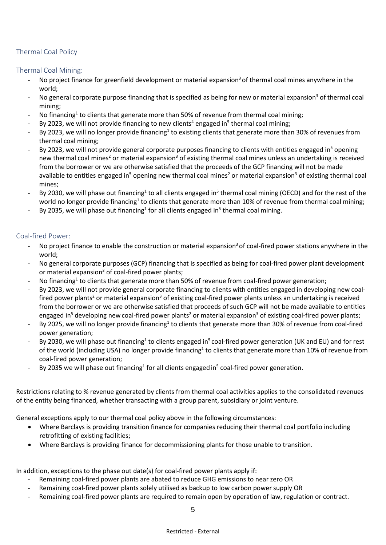#### Thermal Coal Policy

#### Thermal Coal Mining:

- No project finance for greenfield development or material expansion<sup>3</sup> of thermal coal mines anywhere in the world;
- No general corporate purpose financing that is specified as being for new or material expansion<sup>3</sup> of thermal coal mining;
- $\;$  No financing<sup>1</sup> to clients that generate more than 50% of revenue from thermal coal mining;
- By 2023, we will not provide financing to new clients<sup>4</sup> engaged in<sup>5</sup> thermal coal mining;
- By 2023, we will no longer provide financing<sup>1</sup> to existing clients that generate more than 30% of revenues from thermal coal mining;
- By 2023, we will not provide general corporate purposes financing to clients with entities engaged in<sup>5</sup> opening new thermal coal mines<sup>2</sup> or material expansion<sup>3</sup> of existing thermal coal mines unless an undertaking is received from the borrower or we are otherwise satisfied that the proceeds of the GCP financing will not be made available to entities engaged in<sup>5</sup> opening new thermal coal mines<sup>2</sup> or material expansion<sup>3</sup> of existing thermal coal mines;
- By 2030, we will phase out financing<sup>1</sup> to all clients engaged in<sup>5</sup> thermal coal mining (OECD) and for the rest of the world no longer provide financing<sup>1</sup> to clients that generate more than 10% of revenue from thermal coal mining;
- By 2035, we will phase out financing<sup>1</sup> for all clients engaged in<sup>5</sup> thermal coal mining.

#### Coal-fired Power:

- No project finance to enable the construction or material expansion <sup>3</sup> of coal-fired power stations anywhere in the world;
- No general corporate purposes (GCP) financing that is specified as being for coal-fired power plant development or material expansion<sup>3</sup> of coal-fired power plants;
- $\;$  No financing<sup>1</sup> to clients that generate more than 50% of revenue from coal-fired power generation;
- By 2023, we will not provide general corporate financing to clients with entities engaged in developing new coalfired power plants<sup>2</sup> or material expansion<sup>3</sup> of existing coal-fired power plants unless an undertaking is received from the borrower or we are otherwise satisfied that proceeds of such GCP will not be made available to entities engaged in<sup>5</sup> developing new coal-fired power plants<sup>2</sup> or material expansion<sup>3</sup> of existing coal-fired power plants;
- By 2025, we will no longer provide financing<sup>1</sup> to clients that generate more than 30% of revenue from coal-fired power generation;
- By 2030, we will phase out financing<sup>1</sup> to clients engaged in<sup>5</sup> coal-fired power generation (UK and EU) and for rest of the world (including USA) no longer provide financing<sup>1</sup> to clients that generate more than 10% of revenue from coal-fired power generation;
- By 2035 we will phase out financing<sup>1</sup> for all clients engaged in<sup>5</sup> coal-fired power generation.

Restrictions relating to % revenue generated by clients from thermal coal activities applies to the consolidated revenues of the entity being financed, whether transacting with a group parent, subsidiary or joint venture.

General exceptions apply to our thermal coal policy above in the following circumstances:

- Where Barclays is providing transition finance for companies reducing their thermal coal portfolio including retrofitting of existing facilities;
- Where Barclays is providing finance for decommissioning plants for those unable to transition.

In addition, exceptions to the phase out date(s) for coal-fired power plants apply if:

- Remaining coal-fired power plants are abated to reduce GHG emissions to near zero OR
- Remaining coal-fired power plants solely utilised as backup to low carbon power supply OR
- Remaining coal-fired power plants are required to remain open by operation of law, regulation or contract.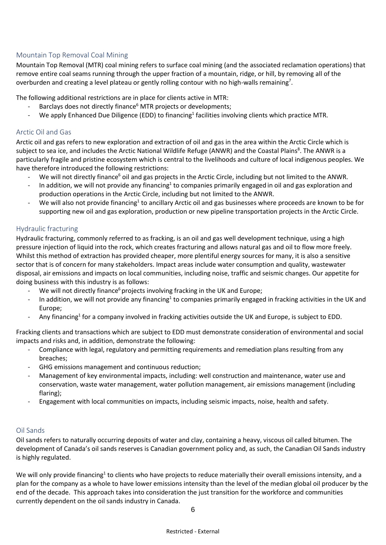#### Mountain Top Removal Coal Mining

Mountain Top Removal (MTR) coal mining refers to surface coal mining (and the associated reclamation operations) that remove entire coal seams running through the upper fraction of a mountain, ridge, or hill, by removing all of the overburden and creating a level plateau or gently rolling contour with no high-walls remaining<sup>7</sup>.

The following additional restrictions are in place for clients active in MTR:

- Barclays does not directly finance<sup>6</sup> MTR projects or developments;
- Me apply Enhanced Due Diligence (EDD) to financing<sup>1</sup> facilities involving clients which practice MTR.

#### Arctic Oil and Gas

Arctic oil and gas refers to new exploration and extraction of oil and gas in the area within the Arctic Circle which is subject to sea ice, and includes the Arctic National Wildlife Refuge (ANWR) and the Coastal Plains<sup>8</sup>. The ANWR is a particularly fragile and pristine ecosystem which is central to the livelihoods and culture of local indigenous peoples. We have therefore introduced the following restrictions:

- We will not directly finance<sup>6</sup> oil and gas projects in the Arctic Circle, including but not limited to the ANWR.
- In addition, we will not provide any financing<sup>1</sup> to companies primarily engaged in oil and gas exploration and production operations in the Arctic Circle, including but not limited to the ANWR.
- We will also not provide financing<sup>1</sup> to ancillary Arctic oil and gas businesses where proceeds are known to be for supporting new oil and gas exploration, production or new pipeline transportation projects in the Arctic Circle.

#### Hydraulic fracturing

Hydraulic fracturing, commonly referred to as fracking, is an oil and gas well development technique, using a high pressure injection of liquid into the rock, which creates fracturing and allows natural gas and oil to flow more freely. Whilst this method of extraction has provided cheaper, more plentiful energy sources for many, it is also a sensitive sector that is of concern for many stakeholders. Impact areas include water consumption and quality, wastewater disposal, air emissions and impacts on local communities, including noise, traffic and seismic changes. Our appetite for doing business with this industry is as follows:

- We will not directly finance<sup>6</sup> projects involving fracking in the UK and Europe;
- In addition, we will not provide any financing<sup>1</sup> to companies primarily engaged in fracking activities in the UK and Europe;
- Any financing<sup>1</sup> for a company involved in fracking activities outside the UK and Europe, is subject to EDD.

Fracking clients and transactions which are subject to EDD must demonstrate consideration of environmental and social impacts and risks and, in addition, demonstrate the following:

- Compliance with legal, regulatory and permitting requirements and remediation plans resulting from any breaches;
- GHG emissions management and continuous reduction;
- Management of key environmental impacts, including: well construction and maintenance, water use and conservation, waste water management, water pollution management, air emissions management (including flaring);
- Engagement with local communities on impacts, including seismic impacts, noise, health and safety.

#### Oil Sands

Oil sands refers to naturally occurring deposits of water and clay, containing a heavy, viscous oil called bitumen. The development of Canada's oil sands reserves is Canadian government policy and, as such, the Canadian Oil Sands industry is highly regulated.

We will only provide financing<sup>1</sup> to clients who have projects to reduce materially their overall emissions intensity, and a plan for the company as a whole to have lower emissions intensity than the level of the median global oil producer by the end of the decade. This approach takes into consideration the just transition for the workforce and communities currently dependent on the oil sands industry in Canada.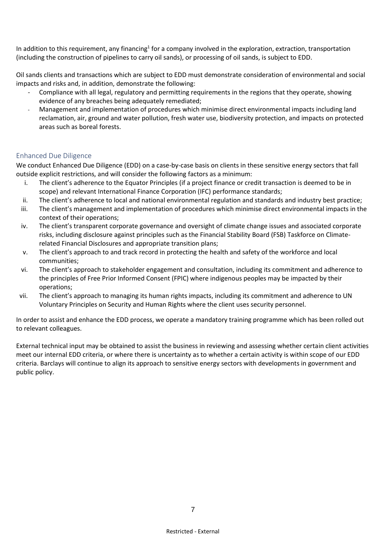In addition to this requirement, any financing<sup>1</sup> for a company involved in the exploration, extraction, transportation (including the construction of pipelines to carry oil sands), or processing of oil sands, is subject to EDD.

Oil sands clients and transactions which are subject to EDD must demonstrate consideration of environmental and social impacts and risks and, in addition, demonstrate the following:

- Compliance with all legal, regulatory and permitting requirements in the regions that they operate, showing evidence of any breaches being adequately remediated;
- Management and implementation of procedures which minimise direct environmental impacts including land reclamation, air, ground and water pollution, fresh water use, biodiversity protection, and impacts on protected areas such as boreal forests.

#### Enhanced Due Diligence

We conduct Enhanced Due Diligence (EDD) on a case-by-case basis on clients in these sensitive energy sectors that fall outside explicit restrictions, and will consider the following factors as a minimum:

- i. The client's adherence to the Equator Principles (if a project finance or credit transaction is deemed to be in scope) and relevant International Finance Corporation (IFC) performance standards;
- ii. The client's adherence to local and national environmental regulation and standards and industry best practice;
- iii. The client's management and implementation of procedures which minimise direct environmental impacts in the context of their operations;
- iv. The client's transparent corporate governance and oversight of climate change issues and associated corporate risks, including disclosure against principles such as the Financial Stability Board (FSB) Taskforce on Climaterelated Financial Disclosures and appropriate transition plans;
- v. The client's approach to and track record in protecting the health and safety of the workforce and local communities;
- vi. The client's approach to stakeholder engagement and consultation, including its commitment and adherence to the principles of Free Prior Informed Consent (FPIC) where indigenous peoples may be impacted by their operations;
- vii. The client's approach to managing its human rights impacts, including its commitment and adherence to UN Voluntary Principles on Security and Human Rights where the client uses security personnel.

In order to assist and enhance the EDD process, we operate a mandatory training programme which has been rolled out to relevant colleagues.

External technical input may be obtained to assist the business in reviewing and assessing whether certain client activities meet our internal EDD criteria, or where there is uncertainty as to whether a certain activity is within scope of our EDD criteria. Barclays will continue to align its approach to sensitive energy sectors with developments in government and public policy.